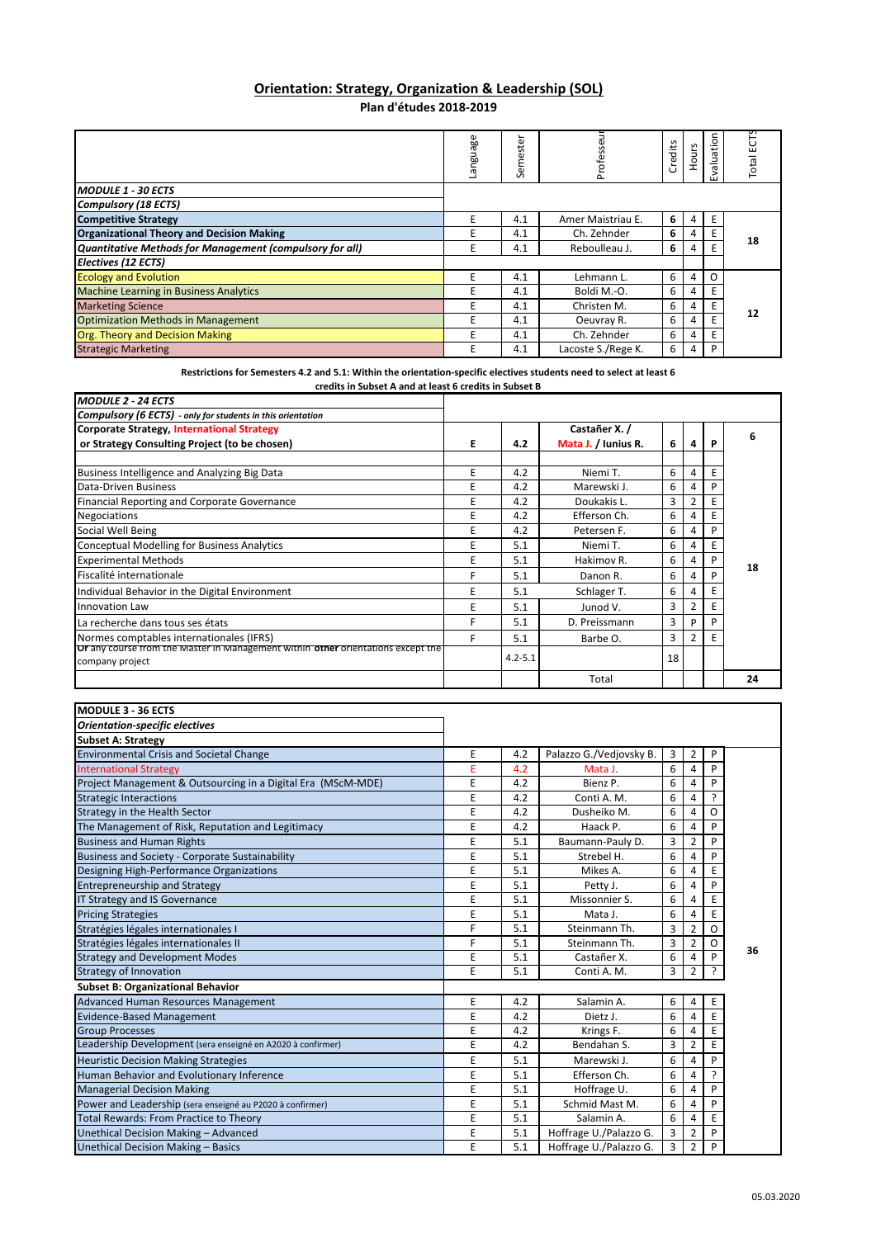## **Orientation: Strategy, Organization & Leadership (SOL) Plan d'études 2018‐2019**

|                                                          | anguage | ⊾<br>$\overline{\mathbf{a}}$<br>ಕ<br>Φ<br>Ē<br>S | 금<br>Professe      | Credits | <b>Hours</b> | aluation<br>ш | Total |
|----------------------------------------------------------|---------|--------------------------------------------------|--------------------|---------|--------------|---------------|-------|
| <b>MODULE 1 - 30 ECTS</b>                                |         |                                                  |                    |         |              |               |       |
| <b>Compulsory (18 ECTS)</b>                              |         |                                                  |                    |         |              |               |       |
| <b>Competitive Strategy</b>                              | E       | 4.1                                              | Amer Maistriau E.  | 6       | 4            |               |       |
| <b>Organizational Theory and Decision Making</b>         | E       | 4.1                                              | Ch. Zehnder        | 6       | 4            | E             | 18    |
| Quantitative Methods for Management (compulsory for all) | E       | 4.1                                              | Reboulleau J.      | 6       | 4            |               |       |
| Electives (12 ECTS)                                      |         |                                                  |                    |         |              |               |       |
| <b>Ecology and Evolution</b>                             | F       | 4.1                                              | Lehmann L.         | 6       | 4            | O             |       |
| <b>Machine Learning in Business Analytics</b>            | E       | 4.1                                              | Boldi M.-O.        | 6       | 4            |               |       |
| <b>Marketing Science</b>                                 | E       | 4.1                                              | Christen M.        | 6       | 4            |               | 12    |
| <b>Optimization Methods in Management</b>                | E       | 4.1                                              | Oeuvray R.         | 6       | 4            |               |       |
| <b>Org. Theory and Decision Making</b>                   | E       | 4.1                                              | Ch. Zehnder        | 6       | 4            |               |       |
| <b>Strategic Marketing</b>                               | E       | 4.1                                              | Lacoste S./Rege K. | 6       | 4            | D             |       |

Restrictions for Semesters 4.2 and 5.1: Within the orientation-specific electives students need to select at least 6

| credits in Subset A and at least 6 credits in Subset B |  |  |  |  |  |  |
|--------------------------------------------------------|--|--|--|--|--|--|
|                                                        |  |  |  |  |  |  |

| <b>MODULE 2 - 24 ECTS</b>                                                                           |    |             |                     |    |               |   |    |
|-----------------------------------------------------------------------------------------------------|----|-------------|---------------------|----|---------------|---|----|
| Compulsory (6 ECTS) - only for students in this orientation                                         |    |             |                     |    |               |   |    |
| <b>Corporate Strategy, International Strategy</b>                                                   |    |             | Castañer X. /       |    |               |   | 6  |
| or Strategy Consulting Project (to be chosen)                                                       | E. | 4.2         | Mata J. / Iunius R. | 6  |               | P |    |
|                                                                                                     | E  | 4.2         | Niemi T.            | 6  |               | Е |    |
| Business Intelligence and Analyzing Big Data<br>Data-Driven Business                                | E  | 4.2         | Marewski J.         | 6  |               | D |    |
| Financial Reporting and Corporate Governance                                                        | E  | 4.2         | Doukakis L.         | 3  | 2             | Е |    |
| <b>Negociations</b>                                                                                 | E  | 4.2         | Efferson Ch.        | 6  |               |   |    |
| Social Well Being                                                                                   | E  | 4.2         | Petersen F.         | 6  |               |   |    |
| <b>Conceptual Modelling for Business Analytics</b>                                                  | E  | 5.1         | Niemi T.            | 6  |               |   |    |
| <b>Experimental Methods</b>                                                                         | E  | 5.1         | Hakimov R.          | 6  |               | P | 18 |
| Fiscalité internationale                                                                            | F  | 5.1         | Danon R.            | 6  |               | D |    |
| Individual Behavior in the Digital Environment                                                      | E  | 5.1         | Schlager T.         | 6  |               |   |    |
| <b>Innovation Law</b>                                                                               | E  | 5.1         | Junod V.            | 3  |               |   |    |
| La recherche dans tous ses états                                                                    | F  | 5.1         | D. Preissmann       | 3  | D             | D |    |
| Normes comptables internationales (IFRS)                                                            | F  | 5.1         | Barbe O.            | 3  | $\mathcal{P}$ |   |    |
| Ur any course from the Master in Management Within other orientations except the<br>company project |    | $4.2 - 5.1$ |                     | 18 |               |   |    |
|                                                                                                     |    |             | Total               |    |               |   | 24 |

| <b>MODULE 3 - 36 ECTS</b>                                    |   |     |                         |   |                |   |    |
|--------------------------------------------------------------|---|-----|-------------------------|---|----------------|---|----|
| <b>Orientation-specific electives</b>                        |   |     |                         |   |                |   |    |
| <b>Subset A: Strategy</b>                                    |   |     |                         |   |                |   |    |
| <b>Environmental Crisis and Societal Change</b>              | E | 4.2 | Palazzo G./Vedjovsky B. | 3 | 2              | P |    |
| <b>International Strategy</b>                                | E | 4.2 | Mata J.                 | 6 | 4              | P |    |
| Project Management & Outsourcing in a Digital Era (MScM-MDE) | E | 4.2 | Bienz P.                | 6 | 4              | P |    |
| <b>Strategic Interactions</b>                                | E | 4.2 | Conti A. M.             | 6 | 4              | ? |    |
| Strategy in the Health Sector                                | E | 4.2 | Dusheiko M.             | 6 | 4              | O |    |
| The Management of Risk, Reputation and Legitimacy            | E | 4.2 | Haack P.                | 6 | 4              | P |    |
| <b>Business and Human Rights</b>                             | E | 5.1 | Baumann-Pauly D.        | 3 | $\overline{2}$ | P |    |
| Business and Society - Corporate Sustainability              | E | 5.1 | Strebel H.              | 6 | 4              | P |    |
| Designing High-Performance Organizations                     | E | 5.1 | Mikes A.                | 6 | 4              | E |    |
| <b>Entrepreneurship and Strategy</b>                         | E | 5.1 | Petty J.                | 6 | 4              | P |    |
| IT Strategy and IS Governance                                | E | 5.1 | Missonnier S.           | 6 | 4              | Е |    |
| <b>Pricing Strategies</b>                                    | E | 5.1 | Mata J.                 | 6 | 4              | E |    |
| Stratégies légales internationales I                         | F | 5.1 | Steinmann Th.           | 3 | 2              | O |    |
| Stratégies légales internationales II                        | F | 5.1 | Steinmann Th.           | 3 | $\overline{2}$ | O | 36 |
| <b>Strategy and Development Modes</b>                        | E | 5.1 | Castañer X.             | 6 | 4              | P |    |
| <b>Strategy of Innovation</b>                                | E | 5.1 | Conti A. M.             | 3 | $\overline{2}$ |   |    |
| <b>Subset B: Organizational Behavior</b>                     |   |     |                         |   |                |   |    |
| Advanced Human Resources Management                          | E | 4.2 | Salamin A.              | 6 | 4              | Ε |    |
| <b>Evidence-Based Management</b>                             | E | 4.2 | Dietz J.                | 6 | 4              | E |    |
| <b>Group Processes</b>                                       | E | 4.2 | Krings F.               | 6 | 4              | E |    |
| Leadership Development (sera enseigné en A2020 à confirmer)  | E | 4.2 | Bendahan S.             | 3 | $\overline{2}$ | E |    |
| <b>Heuristic Decision Making Strategies</b>                  | E | 5.1 | Marewski J.             | 6 | 4              | P |    |
| Human Behavior and Evolutionary Inference                    | E | 5.1 | Efferson Ch.            | 6 | 4              | ? |    |
| <b>Managerial Decision Making</b>                            | E | 5.1 | Hoffrage U.             | 6 | 4              | P |    |
| Power and Leadership (sera enseigné au P2020 à confirmer)    | E | 5.1 | Schmid Mast M.          | 6 | 4              | P |    |
| <b>Total Rewards: From Practice to Theory</b>                | E | 5.1 | Salamin A.              | 6 | 4              | Ε |    |
| Unethical Decision Making - Advanced                         | E | 5.1 | Hoffrage U./Palazzo G.  | 3 | $\overline{2}$ | P |    |
| Unethical Decision Making - Basics                           | E | 5.1 | Hoffrage U./Palazzo G.  | 3 | $\overline{2}$ | P |    |

٦